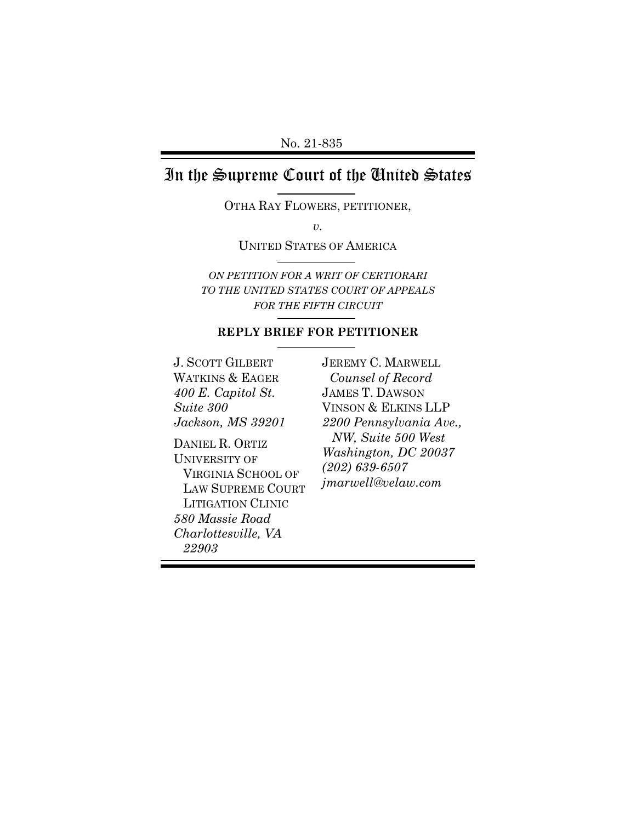## In the Supreme Court of the United States

OTHA RAY FLOWERS, PETITIONER,

*v.* 

UNITED STATES OF AMERICA

*ON PETITION FOR A WRIT OF CERTIORARI TO THE UNITED STATES COURT OF APPEALS FOR THE FIFTH CIRCUIT*

## **REPLY BRIEF FOR PETITIONER**

J. SCOTT GILBERT WATKINS & EAGER *400 E. Capitol St. Suite 300 Jackson, MS 39201* 

DANIEL R. ORTIZ UNIVERSITY OF VIRGINIA SCHOOL OF LAW SUPREME COURT LITIGATION CLINIC *580 Massie Road Charlottesville, VA 22903*

JEREMY C. MARWELL *Counsel of Record* JAMES T. DAWSON VINSON & ELKINS LLP *2200 Pennsylvania Ave., NW, Suite 500 West Washington, DC 20037 (202) 639-6507 jmarwell@velaw.com*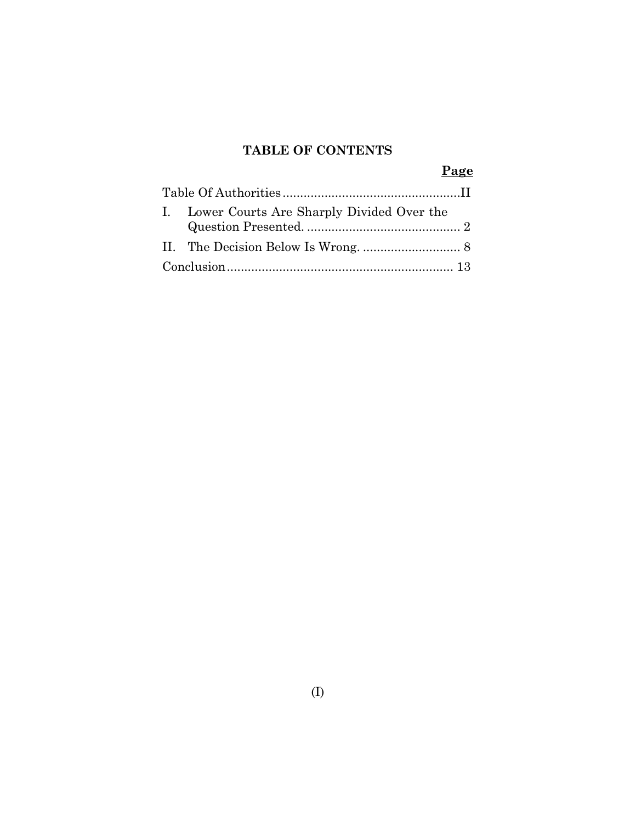## **TABLE OF CONTENTS**

|  | Page                                         |
|--|----------------------------------------------|
|  |                                              |
|  | I. Lower Courts Are Sharply Divided Over the |
|  |                                              |
|  |                                              |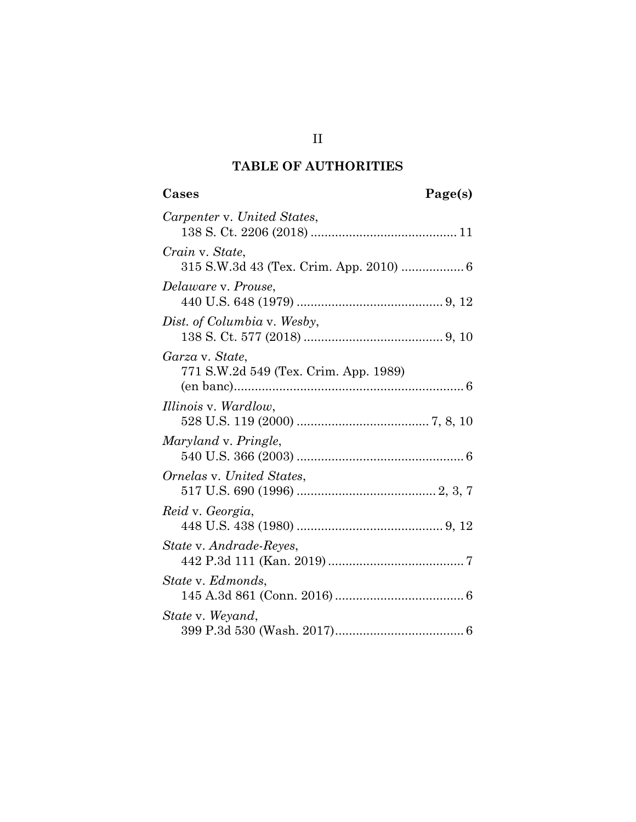## **TABLE OF AUTHORITIES**

# **Cases Page(s)**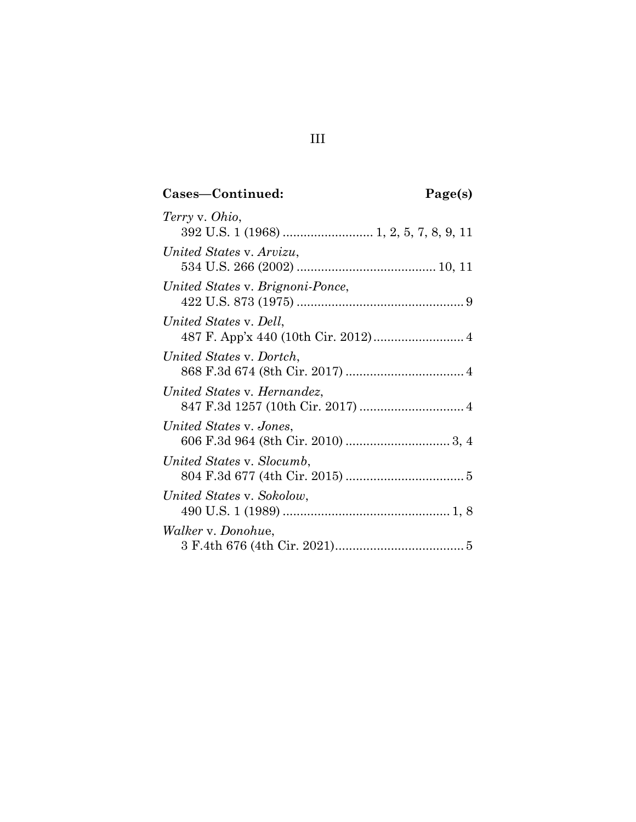# **Cases—Continued: Page(s)**

| Terry v. Ohio,                   |  |
|----------------------------------|--|
|                                  |  |
| United States v. Arvizu,         |  |
|                                  |  |
| United States v. Brignoni-Ponce, |  |
|                                  |  |
| United States v. Dell,           |  |
|                                  |  |
| United States v. Dortch,         |  |
|                                  |  |
| United States v. Hernandez,      |  |
|                                  |  |
| United States v. Jones,          |  |
|                                  |  |
| United States v. Slocumb,        |  |
|                                  |  |
| United States v. Sokolow,        |  |
|                                  |  |
| <i>Walker v. Donohue,</i>        |  |
|                                  |  |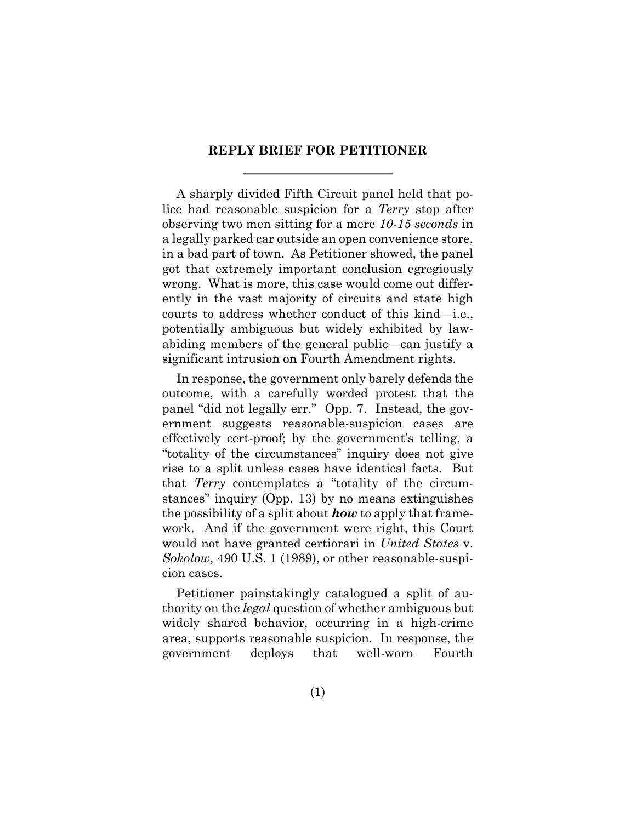### **REPLY BRIEF FOR PETITIONER**

A sharply divided Fifth Circuit panel held that police had reasonable suspicion for a *Terry* stop after observing two men sitting for a mere *10-15 seconds* in a legally parked car outside an open convenience store, in a bad part of town. As Petitioner showed, the panel got that extremely important conclusion egregiously wrong. What is more, this case would come out differently in the vast majority of circuits and state high courts to address whether conduct of this kind—i.e., potentially ambiguous but widely exhibited by lawabiding members of the general public—can justify a significant intrusion on Fourth Amendment rights.

In response, the government only barely defends the outcome, with a carefully worded protest that the panel "did not legally err." Opp. 7. Instead, the government suggests reasonable-suspicion cases are effectively cert-proof; by the government's telling, a "totality of the circumstances" inquiry does not give rise to a split unless cases have identical facts. But that *Terry* contemplates a "totality of the circumstances" inquiry (Opp. 13) by no means extinguishes the possibility of a split about *how* to apply that framework. And if the government were right, this Court would not have granted certiorari in *United States* v. *Sokolow*, 490 U.S. 1 (1989), or other reasonable-suspicion cases.

Petitioner painstakingly catalogued a split of authority on the *legal* question of whether ambiguous but widely shared behavior, occurring in a high-crime area, supports reasonable suspicion. In response, the government deploys that well-worn Fourth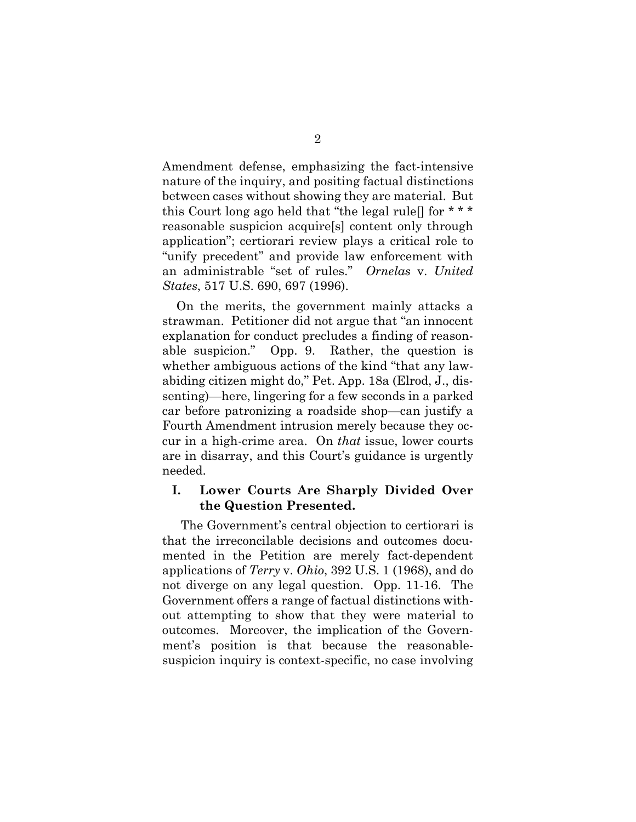Amendment defense, emphasizing the fact-intensive nature of the inquiry, and positing factual distinctions between cases without showing they are material. But this Court long ago held that "the legal rule[] for \* \* \* reasonable suspicion acquire[s] content only through application"; certiorari review plays a critical role to "unify precedent" and provide law enforcement with an administrable "set of rules." *Ornelas* v. *United States*, 517 U.S. 690, 697 (1996).

On the merits, the government mainly attacks a strawman. Petitioner did not argue that "an innocent explanation for conduct precludes a finding of reasonable suspicion." Opp. 9. Rather, the question is whether ambiguous actions of the kind "that any lawabiding citizen might do," Pet. App. 18a (Elrod, J., dissenting)—here, lingering for a few seconds in a parked car before patronizing a roadside shop—can justify a Fourth Amendment intrusion merely because they occur in a high-crime area. On *that* issue, lower courts are in disarray, and this Court's guidance is urgently needed.

## **I. Lower Courts Are Sharply Divided Over the Question Presented.**

The Government's central objection to certiorari is that the irreconcilable decisions and outcomes documented in the Petition are merely fact-dependent applications of *Terry* v. *Ohio*, 392 U.S. 1 (1968), and do not diverge on any legal question. Opp. 11-16. The Government offers a range of factual distinctions without attempting to show that they were material to outcomes. Moreover, the implication of the Government's position is that because the reasonablesuspicion inquiry is context-specific, no case involving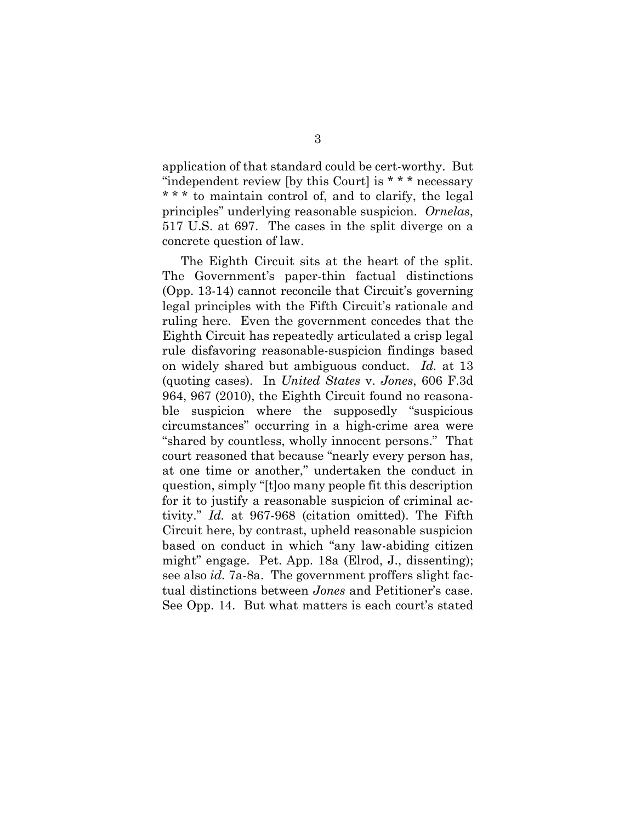application of that standard could be cert-worthy. But "independent review [by this Court] is \* \* \* necessary \* \* \* to maintain control of, and to clarify, the legal principles" underlying reasonable suspicion. *Ornelas*, 517 U.S. at 697. The cases in the split diverge on a concrete question of law.

The Eighth Circuit sits at the heart of the split. The Government's paper-thin factual distinctions (Opp. 13-14) cannot reconcile that Circuit's governing legal principles with the Fifth Circuit's rationale and ruling here. Even the government concedes that the Eighth Circuit has repeatedly articulated a crisp legal rule disfavoring reasonable-suspicion findings based on widely shared but ambiguous conduct. *Id.* at 13 (quoting cases). In *United States* v. *Jones*, 606 F.3d 964, 967 (2010), the Eighth Circuit found no reasonable suspicion where the supposedly "suspicious circumstances" occurring in a high-crime area were "shared by countless, wholly innocent persons." That court reasoned that because "nearly every person has, at one time or another," undertaken the conduct in question, simply "[t]oo many people fit this description for it to justify a reasonable suspicion of criminal activity." *Id.* at 967-968 (citation omitted). The Fifth Circuit here, by contrast, upheld reasonable suspicion based on conduct in which "any law-abiding citizen might" engage. Pet. App. 18a (Elrod, J., dissenting); see also *id.* 7a-8a. The government proffers slight factual distinctions between *Jones* and Petitioner's case. See Opp. 14. But what matters is each court's stated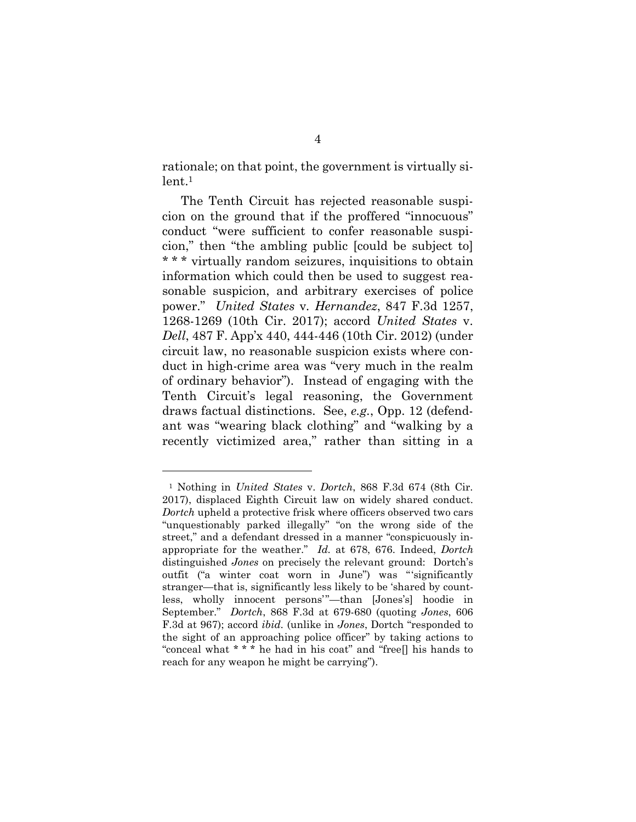rationale; on that point, the government is virtually si $lent.<sup>1</sup>$ 

The Tenth Circuit has rejected reasonable suspicion on the ground that if the proffered "innocuous" conduct "were sufficient to confer reasonable suspicion," then "the ambling public [could be subject to] \* \* \* virtually random seizures, inquisitions to obtain information which could then be used to suggest reasonable suspicion, and arbitrary exercises of police power." *United States* v*. Hernandez*, 847 F.3d 1257, 1268-1269 (10th Cir. 2017); accord *United States* v. *Dell*, 487 F. App'x 440, 444-446 (10th Cir. 2012) (under circuit law, no reasonable suspicion exists where conduct in high-crime area was "very much in the realm of ordinary behavior"). Instead of engaging with the Tenth Circuit's legal reasoning, the Government draws factual distinctions. See, *e.g.*, Opp. 12 (defendant was "wearing black clothing" and "walking by a recently victimized area," rather than sitting in a

<sup>1</sup> Nothing in *United States* v. *Dortch*, 868 F.3d 674 (8th Cir. 2017), displaced Eighth Circuit law on widely shared conduct. *Dortch* upheld a protective frisk where officers observed two cars "unquestionably parked illegally" "on the wrong side of the street," and a defendant dressed in a manner "conspicuously inappropriate for the weather." *Id.* at 678, 676. Indeed, *Dortch*  distinguished *Jones* on precisely the relevant ground: Dortch's outfit ("a winter coat worn in June") was "'significantly stranger—that is, significantly less likely to be 'shared by countless, wholly innocent persons'"—than [Jones's] hoodie in September." *Dortch*, 868 F.3d at 679-680 (quoting *Jones*, 606 F.3d at 967); accord *ibid.* (unlike in *Jones*, Dortch "responded to the sight of an approaching police officer" by taking actions to "conceal what \* \* \* he had in his coat" and "free[] his hands to reach for any weapon he might be carrying").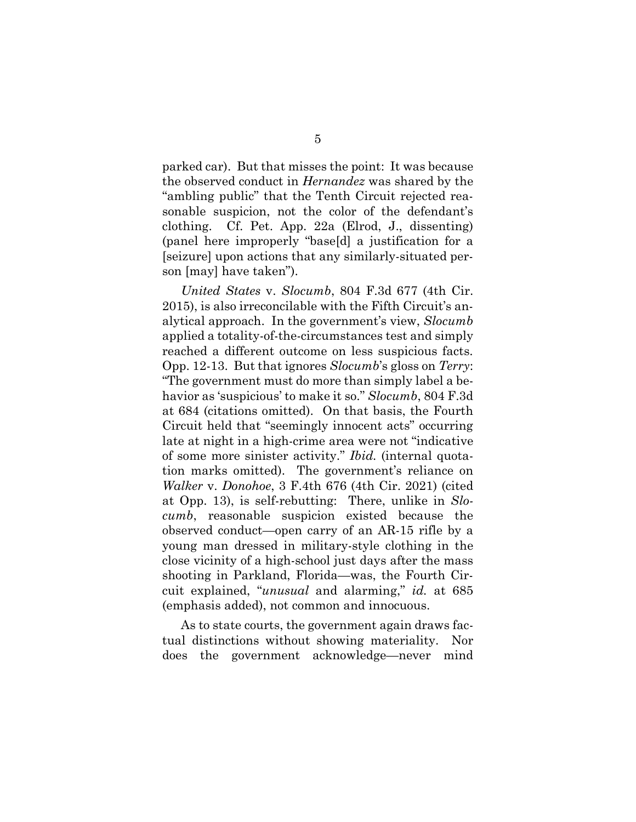parked car). But that misses the point: It was because the observed conduct in *Hernandez* was shared by the "ambling public" that the Tenth Circuit rejected reasonable suspicion, not the color of the defendant's clothing. Cf. Pet. App. 22a (Elrod, J., dissenting) (panel here improperly "base[d] a justification for a [seizure] upon actions that any similarly-situated person [may] have taken").

*United States* v. *Slocumb*, 804 F.3d 677 (4th Cir. 2015), is also irreconcilable with the Fifth Circuit's analytical approach. In the government's view, *Slocumb*  applied a totality-of-the-circumstances test and simply reached a different outcome on less suspicious facts. Opp. 12-13. But that ignores *Slocumb*'s gloss on *Terry*: "The government must do more than simply label a behavior as 'suspicious' to make it so." *Slocumb*, 804 F.3d at 684 (citations omitted). On that basis, the Fourth Circuit held that "seemingly innocent acts" occurring late at night in a high-crime area were not "indicative of some more sinister activity." *Ibid.* (internal quotation marks omitted). The government's reliance on *Walker* v. *Donohoe*, 3 F.4th 676 (4th Cir. 2021) (cited at Opp. 13), is self-rebutting: There, unlike in *Slocumb*, reasonable suspicion existed because the observed conduct—open carry of an AR-15 rifle by a young man dressed in military-style clothing in the close vicinity of a high-school just days after the mass shooting in Parkland, Florida—was, the Fourth Circuit explained, "*unusual* and alarming," *id.* at 685 (emphasis added), not common and innocuous.

As to state courts, the government again draws factual distinctions without showing materiality. Nor does the government acknowledge—never mind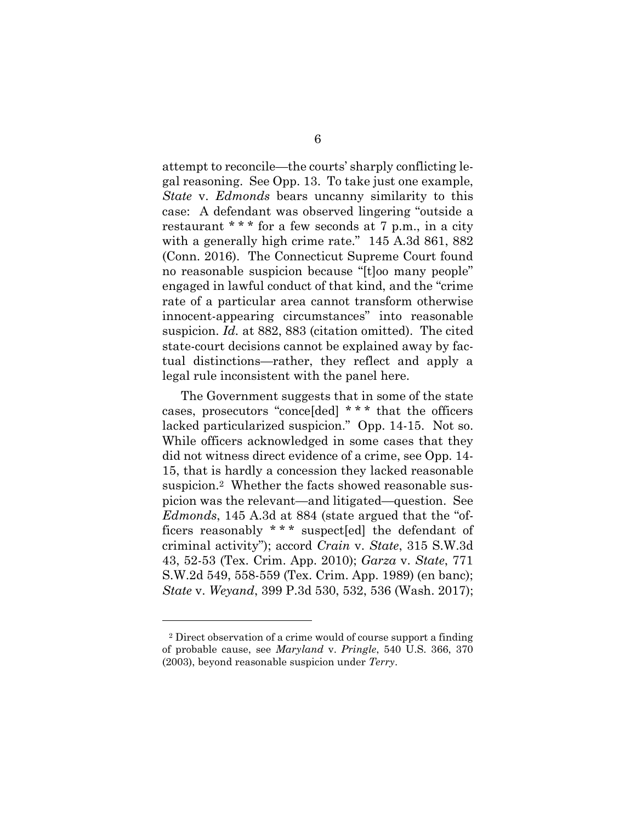attempt to reconcile—the courts' sharply conflicting legal reasoning. See Opp. 13. To take just one example, *State* v. *Edmonds* bears uncanny similarity to this case: A defendant was observed lingering "outside a restaurant  $**$  for a few seconds at 7 p.m., in a city with a generally high crime rate." 145 A.3d 861, 882 (Conn. 2016). The Connecticut Supreme Court found no reasonable suspicion because "[t]oo many people" engaged in lawful conduct of that kind, and the "crime rate of a particular area cannot transform otherwise innocent-appearing circumstances" into reasonable suspicion. *Id.* at 882, 883 (citation omitted). The cited state-court decisions cannot be explained away by factual distinctions—rather, they reflect and apply a legal rule inconsistent with the panel here.

The Government suggests that in some of the state cases, prosecutors "conce[ded] \* \* \* that the officers lacked particularized suspicion." Opp. 14-15. Not so. While officers acknowledged in some cases that they did not witness direct evidence of a crime, see Opp. 14- 15, that is hardly a concession they lacked reasonable suspicion.<sup>2</sup> Whether the facts showed reasonable suspicion was the relevant—and litigated—question. See *Edmonds*, 145 A.3d at 884 (state argued that the "officers reasonably \* \* \* suspect[ed] the defendant of criminal activity"); accord *Crain* v. *State*, 315 S.W.3d 43, 52-53 (Tex. Crim. App. 2010); *Garza* v. *State*, 771 S.W.2d 549, 558-559 (Tex. Crim. App. 1989) (en banc); *State* v. *Weyand*, 399 P.3d 530, 532, 536 (Wash. 2017);

<sup>2</sup> Direct observation of a crime would of course support a finding of probable cause, see *Maryland* v. *Pringle*, 540 U.S. 366, 370 (2003), beyond reasonable suspicion under *Terry*.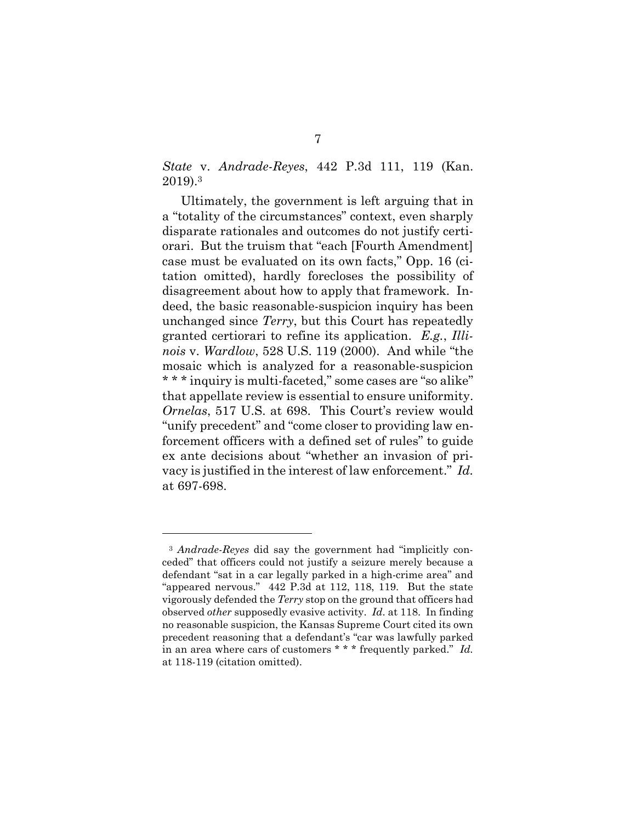*State* v. *Andrade-Reyes*, 442 P.3d 111, 119 (Kan. 2019).<sup>3</sup>

Ultimately, the government is left arguing that in a "totality of the circumstances" context, even sharply disparate rationales and outcomes do not justify certiorari. But the truism that "each [Fourth Amendment] case must be evaluated on its own facts," Opp. 16 (citation omitted), hardly forecloses the possibility of disagreement about how to apply that framework. Indeed, the basic reasonable-suspicion inquiry has been unchanged since *Terry*, but this Court has repeatedly granted certiorari to refine its application. *E.g.*, *Illinois* v. *Wardlow*, 528 U.S. 119 (2000). And while "the mosaic which is analyzed for a reasonable-suspicion \* \* \* inquiry is multi-faceted," some cases are "so alike" that appellate review is essential to ensure uniformity. *Ornelas*, 517 U.S. at 698. This Court's review would "unify precedent" and "come closer to providing law enforcement officers with a defined set of rules" to guide ex ante decisions about "whether an invasion of privacy is justified in the interest of law enforcement." *Id.* at 697-698.

<sup>3</sup> *Andrade-Reyes* did say the government had "implicitly conceded" that officers could not justify a seizure merely because a defendant "sat in a car legally parked in a high-crime area" and "appeared nervous." 442 P.3d at 112, 118, 119. But the state vigorously defended the *Terry* stop on the ground that officers had observed *other* supposedly evasive activity. *Id*. at 118. In finding no reasonable suspicion, the Kansas Supreme Court cited its own precedent reasoning that a defendant's "car was lawfully parked in an area where cars of customers \* \* \* frequently parked." *Id.* at 118-119 (citation omitted).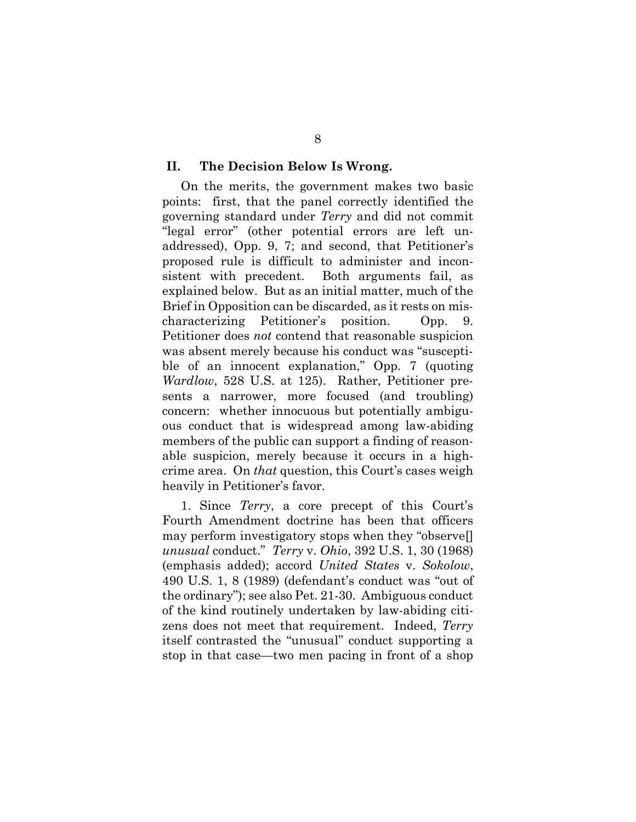#### **II. The Decision Below Is Wrong.**

On the merits, the government makes two basic points: first, that the panel correctly identified the governing standard under *Terry* and did not commit "legal error" (other potential errors are left unaddressed), Opp. 9, 7; and second, that Petitioner's proposed rule is difficult to administer and inconsistent with precedent. Both arguments fail, as explained below. But as an initial matter, much of the Brief in Opposition can be discarded, as it rests on mischaracterizing Petitioner's position. Opp. 9. Petitioner does *not* contend that reasonable suspicion was absent merely because his conduct was "susceptible of an innocent explanation," Opp. 7 (quoting *Wardlow*, 528 U.S. at 125). Rather, Petitioner presents a narrower, more focused (and troubling) concern: whether innocuous but potentially ambiguous conduct that is widespread among law-abiding members of the public can support a finding of reasonable suspicion, merely because it occurs in a highcrime area. On *that* question, this Court's cases weigh heavily in Petitioner's favor.

1. Since *Terry*, a core precept of this Court's Fourth Amendment doctrine has been that officers may perform investigatory stops when they "observe[] *unusual* conduct." *Terry* v. *Ohio*, 392 U.S. 1, 30 (1968) (emphasis added); accord *United States* v. *Sokolow*, 490 U.S. 1, 8 (1989) (defendant's conduct was "out of the ordinary"); see also Pet. 21-30. Ambiguous conduct of the kind routinely undertaken by law-abiding citizens does not meet that requirement. Indeed, *Terry* itself contrasted the "unusual" conduct supporting a stop in that case—two men pacing in front of a shop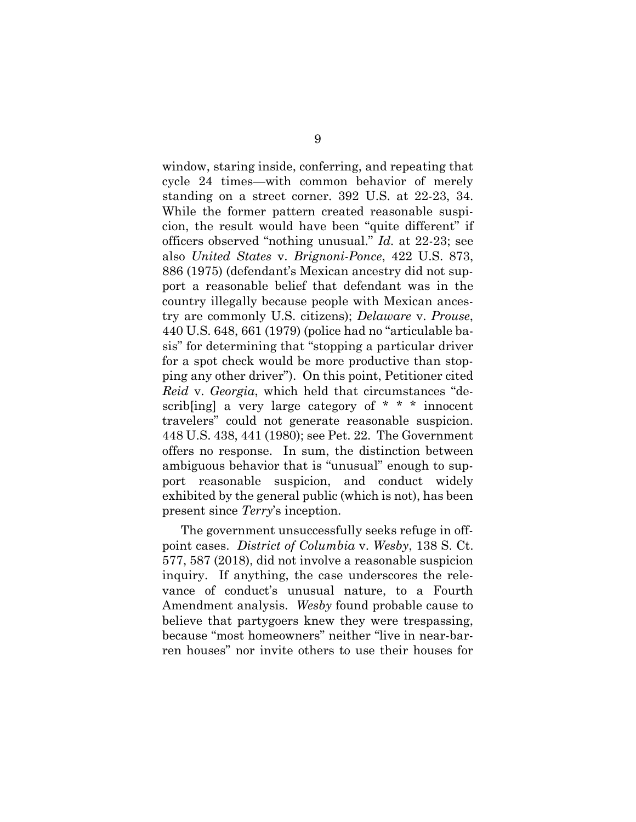window, staring inside, conferring, and repeating that cycle 24 times—with common behavior of merely standing on a street corner. 392 U.S. at 22-23, 34. While the former pattern created reasonable suspicion, the result would have been "quite different" if officers observed "nothing unusual." *Id.* at 22-23; see also *United States* v. *Brignoni-Ponce*, 422 U.S. 873, 886 (1975) (defendant's Mexican ancestry did not support a reasonable belief that defendant was in the country illegally because people with Mexican ancestry are commonly U.S. citizens); *Delaware* v. *Prouse*, 440 U.S. 648, 661 (1979) (police had no "articulable basis" for determining that "stopping a particular driver for a spot check would be more productive than stopping any other driver"). On this point, Petitioner cited *Reid* v. *Georgia*, which held that circumstances "describling a very large category of  $* * *$  innocent travelers" could not generate reasonable suspicion. 448 U.S. 438, 441 (1980); see Pet. 22. The Government offers no response. In sum, the distinction between ambiguous behavior that is "unusual" enough to support reasonable suspicion, and conduct widely exhibited by the general public (which is not), has been present since *Terry*'s inception.

The government unsuccessfully seeks refuge in offpoint cases. *District of Columbia* v. *Wesby*, 138 S. Ct. 577, 587 (2018), did not involve a reasonable suspicion inquiry. If anything, the case underscores the relevance of conduct's unusual nature, to a Fourth Amendment analysis. *Wesby* found probable cause to believe that partygoers knew they were trespassing, because "most homeowners" neither "live in near-barren houses" nor invite others to use their houses for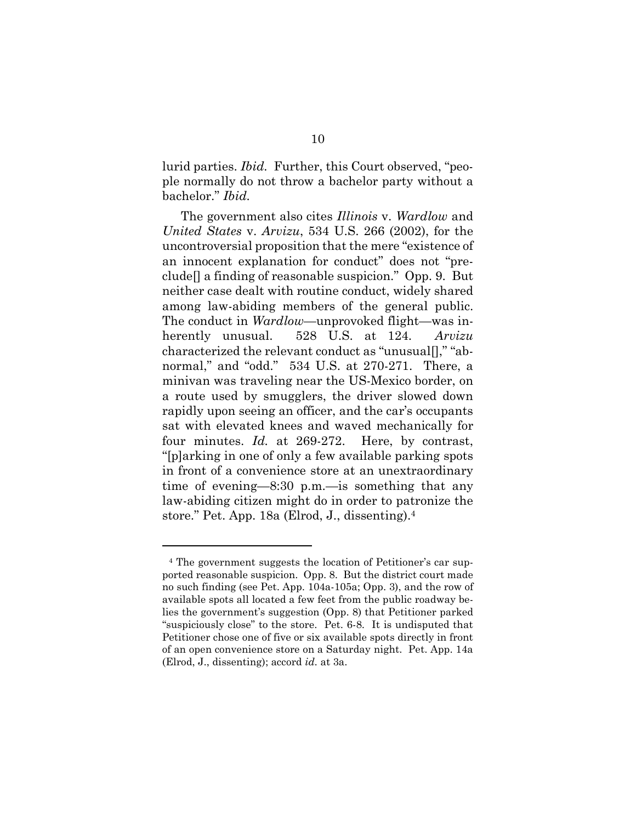lurid parties. *Ibid.* Further, this Court observed, "people normally do not throw a bachelor party without a bachelor." *Ibid.*

The government also cites *Illinois* v. *Wardlow* and *United States* v. *Arvizu*, 534 U.S. 266 (2002), for the uncontroversial proposition that the mere "existence of an innocent explanation for conduct" does not "preclude[] a finding of reasonable suspicion." Opp. 9. But neither case dealt with routine conduct, widely shared among law-abiding members of the general public. The conduct in *Wardlow*—unprovoked flight—was inherently unusual. 528 U.S. at 124. *Arvizu* characterized the relevant conduct as "unusual[]," "abnormal," and "odd." 534 U.S. at 270-271. There, a minivan was traveling near the US-Mexico border, on a route used by smugglers, the driver slowed down rapidly upon seeing an officer, and the car's occupants sat with elevated knees and waved mechanically for four minutes. *Id.* at 269-272. Here, by contrast, "[p]arking in one of only a few available parking spots in front of a convenience store at an unextraordinary time of evening—8:30 p.m.—is something that any law-abiding citizen might do in order to patronize the store." Pet. App. 18a (Elrod, J., dissenting).<sup>4</sup>

<sup>4</sup> The government suggests the location of Petitioner's car supported reasonable suspicion. Opp. 8. But the district court made no such finding (see Pet. App. 104a-105a; Opp. 3), and the row of available spots all located a few feet from the public roadway belies the government's suggestion (Opp. 8) that Petitioner parked "suspiciously close" to the store. Pet. 6-8. It is undisputed that Petitioner chose one of five or six available spots directly in front of an open convenience store on a Saturday night. Pet. App. 14a (Elrod, J., dissenting); accord *id.* at 3a.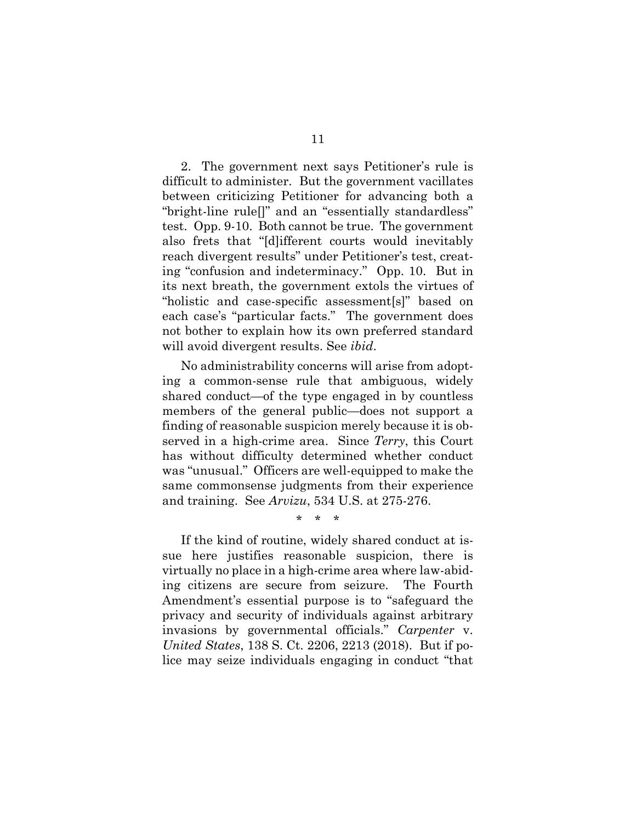2. The government next says Petitioner's rule is difficult to administer. But the government vacillates between criticizing Petitioner for advancing both a "bright-line rule[]" and an "essentially standardless" test. Opp. 9-10. Both cannot be true. The government also frets that "[d]ifferent courts would inevitably reach divergent results" under Petitioner's test, creating "confusion and indeterminacy." Opp. 10. But in its next breath, the government extols the virtues of "holistic and case-specific assessment[s]" based on each case's "particular facts." The government does not bother to explain how its own preferred standard will avoid divergent results. See *ibid*.

No administrability concerns will arise from adopting a common-sense rule that ambiguous, widely shared conduct—of the type engaged in by countless members of the general public—does not support a finding of reasonable suspicion merely because it is observed in a high-crime area. Since *Terry*, this Court has without difficulty determined whether conduct was "unusual." Officers are well-equipped to make the same commonsense judgments from their experience and training. See *Arvizu*, 534 U.S. at 275-276.

\* \* \*

If the kind of routine, widely shared conduct at issue here justifies reasonable suspicion, there is virtually no place in a high-crime area where law-abiding citizens are secure from seizure. The Fourth Amendment's essential purpose is to "safeguard the privacy and security of individuals against arbitrary invasions by governmental officials." *Carpenter* v. *United States*, 138 S. Ct. 2206, 2213 (2018). But if police may seize individuals engaging in conduct "that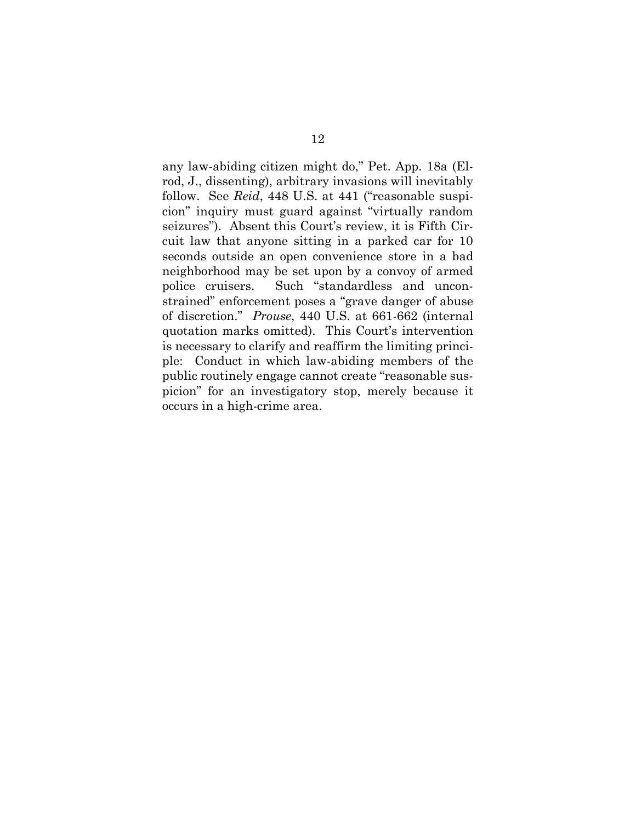any law-abiding citizen might do," Pet. App. 18a (Elrod, J., dissenting), arbitrary invasions will inevitably follow. See *Reid*, 448 U.S. at 441 ("reasonable suspicion" inquiry must guard against "virtually random seizures"). Absent this Court's review, it is Fifth Circuit law that anyone sitting in a parked car for 10 seconds outside an open convenience store in a bad neighborhood may be set upon by a convoy of armed police cruisers. Such "standardless and unconstrained" enforcement poses a "grave danger of abuse of discretion." *Prouse*, 440 U.S. at 661-662 (internal quotation marks omitted). This Court's intervention is necessary to clarify and reaffirm the limiting principle: Conduct in which law-abiding members of the public routinely engage cannot create "reasonable suspicion" for an investigatory stop, merely because it occurs in a high-crime area.